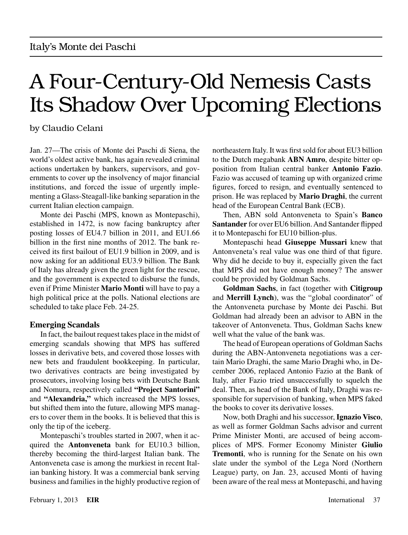# A Four-Century-Old Nemesis Casts Its Shadow Over Upcoming Elections

by Claudio Celani

Jan. 27—The crisis of Monte dei Paschi di Siena, the world's oldest active bank, has again revealed criminal actions undertaken by bankers, supervisors, and governments to cover up the insolvency of major financial institutions, and forced the issue of urgently implementing a Glass-Steagall-like banking separation in the current Italian election campaign.

Monte dei Paschi (MPS, known as Montepaschi), established in 1472, is now facing bankruptcy after posting losses of EU4.7 billion in 2011, and EU1.66 billion in the first nine months of 2012. The bank received its first bailout of EU1.9 billion in 2009, and is now asking for an additional EU3.9 billion. The Bank of Italy has already given the green light for the rescue, and the government is expected to disburse the funds, even if Prime Minister **Mario Monti** will have to pay a high political price at the polls. National elections are scheduled to take place Feb. 24-25.

### **Emerging Scandals**

In fact, the bailout request takes place in the midst of emerging scandals showing that MPS has suffered losses in derivative bets, and covered those losses with new bets and fraudulent bookkeeping. In particular, two derivatives contracts are being investigated by prosecutors, involving losing bets with Deutsche Bank and Nomura, respectively called **"Project Santorini"** and **"Alexandria,"** which increased the MPS losses, but shifted them into the future, allowing MPS managers to cover them in the books. It is believed that this is only the tip of the iceberg.

Montepaschi's troubles started in 2007, when it acquired the **Antonveneta** bank for EU10.3 billion, thereby becoming the third-largest Italian bank. The Antonveneta case is among the murkiest in recent Italian banking history. It was a commercial bank serving business and families in the highly productive region of northeastern Italy. It was first sold for about EU3 billion to the Dutch megabank **ABN Amro**, despite bitter opposition from Italian central banker **Antonio Fazio**. Fazio was accused of teaming up with organized crime figures, forced to resign, and eventually sentenced to prison. He was replaced by **Mario Draghi**, the current head of the European Central Bank (ECB).

Then, ABN sold Antonveneta to Spain's **Banco Santander** for over EU6 billion. And Santander flipped it to Montepaschi for EU10 billion-plus.

Montepaschi head **Giuseppe Mussari** knew that Antonveneta's real value was one third of that figure. Why did he decide to buy it, especially given the fact that MPS did not have enough money? The answer could be provided by Goldman Sachs.

**Goldman Sachs**, in fact (together with **Citigroup** and **Merrill Lynch**), was the "global coordinator" of the Antonveneta purchase by Monte dei Paschi. But Goldman had already been an advisor to ABN in the takeover of Antonveneta. Thus, Goldman Sachs knew well what the value of the bank was.

The head of European operations of Goldman Sachs during the ABN-Antonveneta negotiations was a certain Mario Draghi, the same Mario Draghi who, in December 2006, replaced Antonio Fazio at the Bank of Italy, after Fazio tried unsuccessfully to squelch the deal. Then, as head of the Bank of Italy, Draghi was responsible for supervision of banking, when MPS faked the books to cover its derivative losses.

Now, both Draghi and his successor, **Ignazio Visco**, as well as former Goldman Sachs advisor and current Prime Minister Monti, are accused of being accomplices of MPS. Former Economy Minister **Giulio Tremonti**, who is running for the Senate on his own slate under the symbol of the Lega Nord (Northern League) party, on Jan. 23, accused Monti of having been aware of the real mess at Montepaschi, and having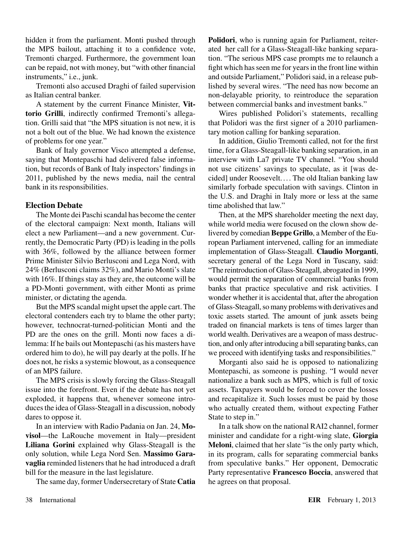hidden it from the parliament. Monti pushed through the MPS bailout, attaching it to a confidence vote, Tremonti charged. Furthermore, the government loan can be repaid, not with money, but "with other financial instruments," i.e., junk.

Tremonti also accused Draghi of failed supervision as Italian central banker.

A statement by the current Finance Minister, **Vittorio Grilli**, indirectly confirmed Tremonti's allegation. Grilli said that "the MPS situation is not new, it is not a bolt out of the blue. We had known the existence of problems for one year."

Bank of Italy governor Visco attempted a defense, saying that Montepaschi had delivered false information, but records of Bank of Italy inspectors' findings in 2011, published by the news media, nail the central bank in its responsibilities.

### **Election Debate**

The Monte dei Paschi scandal has become the center of the electoral campaign: Next month, Italians will elect a new Parliament—and a new government. Currently, the Democratic Party (PD) is leading in the polls with 36%, followed by the alliance between former Prime Minister Silvio Berlusconi and Lega Nord, with 24% (Berlusconi claims 32%), and Mario Monti's slate with 16%. If things stay as they are, the outcome will be a PD-Monti government, with either Monti as prime minister, or dictating the agenda.

But the MPS scandal might upset the apple cart. The electoral contenders each try to blame the other party; however, technocrat-turned-politician Monti and the PD are the ones on the grill. Monti now faces a dilemma: If he bails out Montepaschi (as his masters have ordered him to do), he will pay dearly at the polls. If he does not, he risks a systemic blowout, as a consequence of an MPS failure.

The MPS crisis is slowly forcing the Glass-Steagall issue into the forefront. Even if the debate has not yet exploded, it happens that, whenever someone introduces the idea of Glass-Steagall in a discussion, nobody dares to oppose it.

In an interview with Radio Padania on Jan. 24, **Movisol**—the LaRouche movement in Italy—president **Liliana Gorini** explained why Glass-Steagall is the only solution, while Lega Nord Sen. **Massimo Garavaglia** reminded listeners that he had introduced a draft bill for the measure in the last legislature.

The same day, former Undersecretary of State **Catia** 

**Polidori**, who is running again for Parliament, reiterated her call for a Glass-Steagall-like banking separation. "The serious MPS case prompts me to relaunch a fight which has seen me for years in the front line within and outside Parliament," Polidori said, in a release published by several wires. "The need has now become an non-delayable priority, to reintroduce the separation between commercial banks and investment banks."

Wires published Polidori's statements, recalling that Polidori was the first signer of a 2010 parliamentary motion calling for banking separation.

In addition, Giulio Tremonti called, not for the first time, for a Glass-Steagall-like banking separation, in an interview with La7 private TV channel. "You should not use citizens' savings to speculate, as it [was decided] under Roosevelt.... The old Italian banking law similarly forbade speculation with savings. Clinton in the U.S. and Draghi in Italy more or less at the same time abolished that law."

Then, at the MPS shareholder meeting the next day, while world media were focused on the clown show delivered by comedian **Beppe Grillo**, a Member of the European Parliament intervened, calling for an immediate implementation of Glass-Steagall. **Claudio Morganti**, secretary general of the Lega Nord in Tuscany, said: "The reintroduction of Glass-Steagall, abrogated in 1999, would permit the separation of commercial banks from banks that practice speculative and risk activities. I wonder whether it is accidental that, after the abrogation of Glass-Steagall, so many problems with derivatives and toxic assets started. The amount of junk assets being traded on financial markets is tens of times larger than world wealth. Derivatives are a weapon of mass destruction, and only after introducing a bill separating banks, can we proceed with identifying tasks and responsibilities."

Morganti also said he is opposed to nationalizing Montepaschi, as someone is pushing. "I would never nationalize a bank such as MPS, which is full of toxic assets. Taxpayers would be forced to cover the losses and recapitalize it. Such losses must be paid by those who actually created them, without expecting Father State to step in."

In a talk show on the national RAI2 channel, former minister and candidate for a right-wing slate, **Giorgia Meloni**, claimed that her slate "is the only party which, in its program, calls for separating commercial banks from speculative banks." Her opponent, Democratic Party representative **Francesco Boccia**, answered that he agrees on that proposal.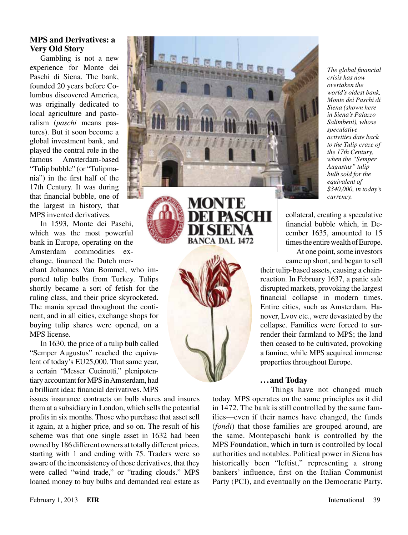## **MPS and Derivatives: a Very Old Story**

Gambling is not a new experience for Monte dei Paschi di Siena. The bank, founded 20 years before Columbus discovered America, was originally dedicated to local agriculture and pastoralism (*paschi* means pastures). But it soon become a global investment bank, and played the central role in the famous Amsterdam-based "Tulip bubble" (or "Tulipmania") in the first half of the 17th Century. It was during that financial bubble, one of the largest in history, that MPS invented derivatives.

In 1593, Monte dei Paschi, which was the most powerful bank in Europe, operating on the Amsterdam commodities exchange, financed the Dutch mer-

chant Johannes Van Bommel, who imported tulip bulbs from Turkey. Tulips shortly became a sort of fetish for the ruling class, and their price skyrocketed. The mania spread throughout the continent, and in all cities, exchange shops for buying tulip shares were opened, on a MPS license.

In 1630, the price of a tulip bulb called "Semper Augustus" reached the equivalent of today's EU25,000. That same year, a certain "Messer Cucinotti," plenipotentiary accountant for MPS in Amsterdam, had a brilliant idea: financial derivatives. MPS

issues insurance contracts on bulb shares and insures them at a subsidiary in London, which sells the potential profits in six months. Those who purchase that asset sell it again, at a higher price, and so on. The result of his scheme was that one single asset in 1632 had been owned by 186 different owners at totally different prices, starting with 1 and ending with 75. Traders were so aware of the inconsistency of those derivatives, that they were called "wind trade," or "trading clouds." MPS loaned money to buy bulbs and demanded real estate as



**BANCA DAL 1472** 

SCHI

*The global financial crisis has now overtaken the world's oldest bank, Monte dei Paschi di Siena (shown here in Siena's Palazzo Salimbeni), whose speculative activities date back to the Tulip craze of the 17th Century, when the "Semper Augustus" tulip bulb sold for the equivalent of \$340,000, in today's currency.*

collateral, creating a speculative financial bubble which, in December 1635, amounted to 15 times the entire wealth of Europe.

At one point, some investors came up short, and began to sell

their tulip-based assets, causing a chainreaction. In February 1637, a panic sale disrupted markets, provoking the largest financial collapse in modern times. Entire cities, such as Amsterdam, Hanover, Lvov etc., were devastated by the collapse. Families were forced to surrender their farmland to MPS; the land then ceased to be cultivated, provoking a famine, while MPS acquired immense properties throughout Europe.

#### **...and Today**

Things have not changed much today. MPS operates on the same principles as it did in 1472. The bank is still controlled by the same families—even if their names have changed, the funds (*fondi*) that those families are grouped around, are the same. Montepaschi bank is controlled by the MPS Foundation, which in turn is controlled by local authorities and notables. Political power in Siena has historically been "leftist," representing a strong bankers' influence, first on the Italian Communist Party (PCI), and eventually on the Democratic Party.